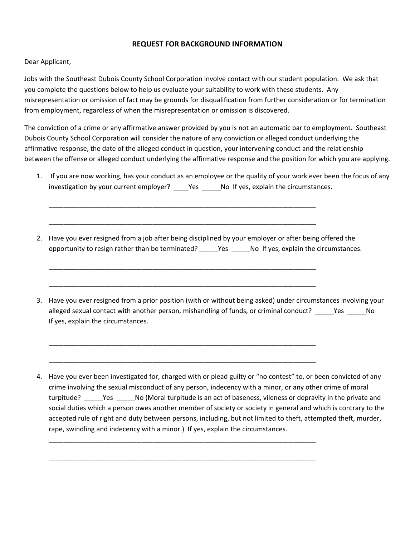## **REQUEST FOR BACKGROUND INFORMATION**

## Dear Applicant,

Jobs with the Southeast Dubois County School Corporation involve contact with our student population. We ask that you complete the questions below to help us evaluate your suitability to work with these students. Any misrepresentation or omission of fact may be grounds for disqualification from further consideration or for termination from employment, regardless of when the misrepresentation or omission is discovered.

The conviction of a crime or any affirmative answer provided by you is not an automatic bar to employment. Southeast Dubois County School Corporation will consider the nature of any conviction or alleged conduct underlying the affirmative response, the date of the alleged conduct in question, your intervening conduct and the relationship between the offense or alleged conduct underlying the affirmative response and the position for which you are applying.

- 1. If you are now working, has your conduct as an employee or the quality of your work ever been the focus of any investigation by your current employer? \_\_\_\_Yes \_\_\_\_\_No If yes, explain the circumstances.
- 2. Have you ever resigned from a job after being disciplined by your employer or after being offered the opportunity to resign rather than be terminated? \_\_\_\_\_Yes \_\_\_\_\_No If yes, explain the circumstances.

\_\_\_\_\_\_\_\_\_\_\_\_\_\_\_\_\_\_\_\_\_\_\_\_\_\_\_\_\_\_\_\_\_\_\_\_\_\_\_\_\_\_\_\_\_\_\_\_\_\_\_\_\_\_\_\_\_\_\_\_\_\_\_\_\_\_\_\_\_\_\_\_

\_\_\_\_\_\_\_\_\_\_\_\_\_\_\_\_\_\_\_\_\_\_\_\_\_\_\_\_\_\_\_\_\_\_\_\_\_\_\_\_\_\_\_\_\_\_\_\_\_\_\_\_\_\_\_\_\_\_\_\_\_\_\_\_\_\_\_\_\_\_\_\_

\_\_\_\_\_\_\_\_\_\_\_\_\_\_\_\_\_\_\_\_\_\_\_\_\_\_\_\_\_\_\_\_\_\_\_\_\_\_\_\_\_\_\_\_\_\_\_\_\_\_\_\_\_\_\_\_\_\_\_\_\_\_\_\_\_\_\_\_\_\_\_\_

\_\_\_\_\_\_\_\_\_\_\_\_\_\_\_\_\_\_\_\_\_\_\_\_\_\_\_\_\_\_\_\_\_\_\_\_\_\_\_\_\_\_\_\_\_\_\_\_\_\_\_\_\_\_\_\_\_\_\_\_\_\_\_\_\_\_\_\_\_\_\_\_

\_\_\_\_\_\_\_\_\_\_\_\_\_\_\_\_\_\_\_\_\_\_\_\_\_\_\_\_\_\_\_\_\_\_\_\_\_\_\_\_\_\_\_\_\_\_\_\_\_\_\_\_\_\_\_\_\_\_\_\_\_\_\_\_\_\_\_\_\_\_\_\_

\_\_\_\_\_\_\_\_\_\_\_\_\_\_\_\_\_\_\_\_\_\_\_\_\_\_\_\_\_\_\_\_\_\_\_\_\_\_\_\_\_\_\_\_\_\_\_\_\_\_\_\_\_\_\_\_\_\_\_\_\_\_\_\_\_\_\_\_\_\_\_\_

\_\_\_\_\_\_\_\_\_\_\_\_\_\_\_\_\_\_\_\_\_\_\_\_\_\_\_\_\_\_\_\_\_\_\_\_\_\_\_\_\_\_\_\_\_\_\_\_\_\_\_\_\_\_\_\_\_\_\_\_\_\_\_\_\_\_\_\_\_\_\_\_

\_\_\_\_\_\_\_\_\_\_\_\_\_\_\_\_\_\_\_\_\_\_\_\_\_\_\_\_\_\_\_\_\_\_\_\_\_\_\_\_\_\_\_\_\_\_\_\_\_\_\_\_\_\_\_\_\_\_\_\_\_\_\_\_\_\_\_\_\_\_\_\_

3. Have you ever resigned from a prior position (with or without being asked) under circumstances involving your alleged sexual contact with another person, mishandling of funds, or criminal conduct? Yes No If yes, explain the circumstances.

4. Have you ever been investigated for, charged with or plead guilty or "no contest" to, or been convicted of any crime involving the sexual misconduct of any person, indecency with a minor, or any other crime of moral turpitude? \_\_\_\_\_Yes \_\_\_\_\_No (Moral turpitude is an act of baseness, vileness or depravity in the private and social duties which a person owes another member of society or society in general and which is contrary to the accepted rule of right and duty between persons, including, but not limited to theft, attempted theft, murder, rape, swindling and indecency with a minor.) If yes, explain the circumstances.